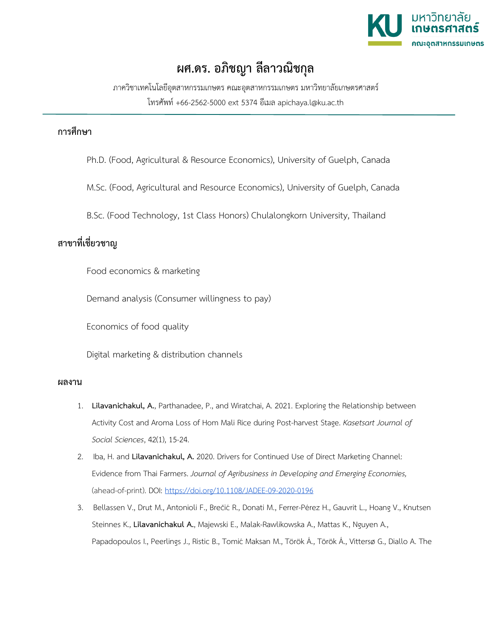

## **ผศ.ดร. อภิชญา ลีลาวณิชกุล**

ภาควิชาเทคโนโลยีอุตสาหกรรมเกษตร คณะอุตสาหกรรมเกษตร มหาวิทยาลัยเกษตรศาสตร โทรศัพท +66-2562-5000 ext 5374 อีเมล apichaya.l@ku.ac.th

## **การศึกษา**

Ph.D. (Food, Agricultural & Resource Economics), University of Guelph, Canada

M.Sc. (Food, Agricultural and Resource Economics), University of Guelph, Canada

B.Sc. (Food Technology, 1st Class Honors) Chulalongkorn University, Thailand

## **สาขาที่เชี่ยวชาญ**

Food economics & marketing

Demand analysis (Consumer willingness to pay)

Economics of food quality

Digital marketing & distribution channels

## **ผลงาน**

- 1. **Lilavanichakul, A.**, Parthanadee, P., and Wiratchai, A. 2021. Exploring the Relationship between Activity Cost and Aroma Loss of Hom Mali Rice during Post-harvest Stage. *Kasetsart Journal of Social Sciences*, 42(1), 15-24.
- 2. Iba, H. and **Lilavanichakul, A.** 2020. Drivers for Continued Use of Direct Marketing Channel: Evidence from Thai Farmers. *Journal of Agribusiness in Developing and Emerging Economies,*  (ahead-of-print). DOI[:](https://doi.org/10.1108/JADEE-09-2020-0196) [https://doi.org/10.1108/JADEE](https://doi.org/10.1108/JADEE-09-2020-0196)-09-2020-0196
- 3. Bellassen V., Drut M., Antonioli F., Brečić R., Donati M., Ferrer-Pérez H., Gauvrit L., Hoang V., Knutsen Steinnes K., **Lilavanichakul A.**, Majewski E., Malak-Rawlikowska A., Mattas K., Nguyen A., Papadopoulos I., Peerlings J., Ristic B., Tomić Maksan M., Török Á., Török Á., Vittersø G., Diallo A. The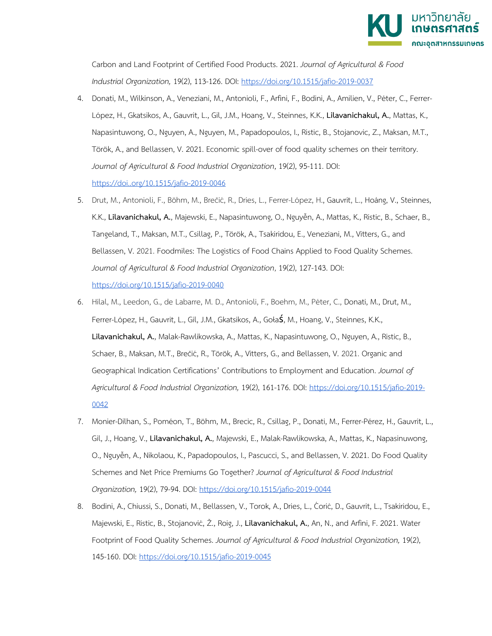

Carbon and Land Footprint of Certified Food Products. 2021. *Journal of Agricultural & Food Industrial Organization,* 19(2), 113-126. DOI: [https://doi.org/10.1515/jafio](https://doi.org/10.1515/jafio-2019-0037)-2019-0037

- 4. Donati, M., Wilkinson, A., Veneziani, M., Antonioli, F., Arfini, F., Bodini, A., Amilien, V., Péter, C., Ferrer-López, H., Gkatsikos, A., Gauvrit, L., Gil, J.M., Hoang, V., Steinnes, K.K., **Lilavanichakul, A.**, Mattas, K., Napasintuwong, O., Nguyen, A., Nguyen, M., Papadopoulos, I., Ristic, B., Stojanovic, Z., Maksan, M.T., Török, A., and Bellassen, V. 2021. Economic spill-over of food quality schemes on their territory. *Journal of Agricultural & Food Industrial Organization*, 19(2), 95-111. DOI[:](https://doi..org/10.1515/jafio-2019-0046) [https://doi](https://doi..org/10.1515/jafio-2019-0046).[.org/10.1515/jafio](https://doi..org/10.1515/jafio-2019-0046)-2019-0046
- 5. Drut, M., Antonioli, F., Böhm, M., Brečić, R., Dries, L., Ferrer-López, H., Gauvrit, L., Hoàng, V., Steinnes, K.K., **Lilavanichakul, A.**, Majewski, E., Napasintuwong, O., Nguyễn, A., Mattas, K., Ristic, B., Schaer, B., Tangeland, T., Maksan, M.T., Csillag, P., Török, A., Tsakiridou, E., Veneziani, M., Vitters, G., and Bellassen, V. 2021. Foodmiles: The Logistics of Food Chains Applied to Food Quality Schemes. *Journal of Agricultural & Food Industrial Organization*, 19(2), 127-143. DO[I:](https://doi.org/10.1515/jafio-2019-0040) [https://doi.org/10.1515/jafio](https://doi.org/10.1515/jafio-2019-0040)-2019-0040
- 6. Hilal, M., Leedon, G., de Labarre, M. D., Antonioli, F., Boehm, M., Péter, C., Donati, M., Drut, M., Ferrer-López, H., Gauvrit, L., Gil, J.M., Gkatsikos, A., Gołaś, M., Hoang, V., Steinnes, K.K., **Lilavanichakul, A.**, Malak-Rawlikowska, A., Mattas, K., Napasintuwong, O., Nguyen, A., Ristic, B., Schaer, B., Maksan, M.T., Brečić, R., Török, A., Vitters, G., and Bellassen, V. 2021. Organic and Geographical Indication Certifications' Contributions to Employment and Education. *Journal of Agricultural & Food Industrial Organization,* 19(2), 161-176. DOI[:](https://doi.org/10.1515/jafio-2019-0042) [https://doi.org/10.1515/jafio](https://doi.org/10.1515/jafio-2019-0042)-2019- [0042](https://doi.org/10.1515/jafio-2019-0042)
- 7. Monier-Dilhan, S., Poméon, T., Böhm, M., Brecic, R., Csillag, P., Donati, M., Ferrer-Pérez, H., Gauvrit, L., Gil, J., Hoang, V., **Lilavanichakul, A.**, Majewski, E., Malak-Rawlikowska, A., Mattas, K., Napasinuwong, O., Nguyễn, A., Nikolaou, K., Papadopoulos, I., Pascucci, S., and Bellassen, V. 2021. Do Food Quality Schemes and Net Price Premiums Go Together? *Journal of Agricultural & Food Industrial Organization,* 19(2), 79-94. DOI[:](https://doi.org/10.1515/jafio-2019-0044) [https://doi.org/10.1515/jafio](https://doi.org/10.1515/jafio-2019-0044)-2019-0044
- 8. Bodini, A., Chiussi, S., Donati, M., Bellassen, V., Torok, A., Dries, L., Ćorić, D., Gauvrit, L., Tsakiridou, E., Majewski, E., Ristic, B., Stojanović, Ž., Roig, J., **Lilavanichakul, A.**, An, N., and Arfini, F. 2021. Water Footprint of Food Quality Schemes. *Journal of Agricultural & Food Industrial Organization,* 19(2), 145-160. DOI: [https://doi.org/10.1515/jafio](https://doi.org/10.1515/jafio-2019-0045)-2019-0045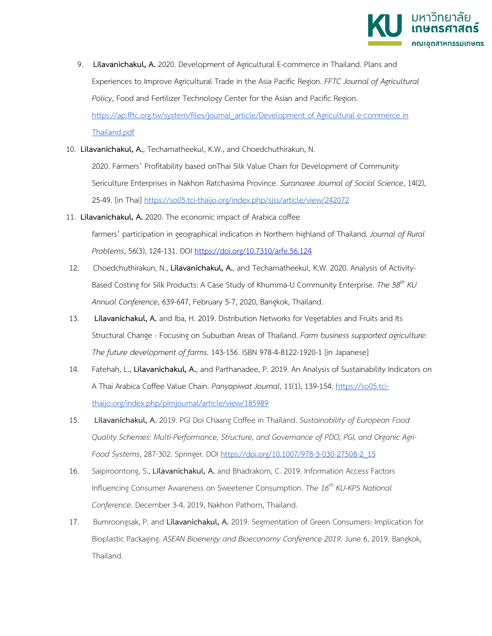

- 9. **Lilavanichakul, A.** 2020. Development of Agricultural E-commerce in Thailand. Plans and Experiences to Improve Agricultural Trade in the Asia Pacific Region. *FFTC Journal of Agricultural Policy*, Food and Fertilizer Technology Center for the Asian and Pacific Regio[n.](https://ap.fftc.org.tw/system/files/journal_article/Development%20of%20Agricultural%20e-commerce%20in%20Thailand.pdf) [https://ap.fftc.org.tw/system/files/journal\\_article/Development of Agricultural e](https://ap.fftc.org.tw/system/files/journal_article/Development%20of%20Agricultural%20e-commerce%20in%20Thailand.pdf)-commerce in [Thailand.pdf](https://ap.fftc.org.tw/system/files/journal_article/Development%20of%20Agricultural%20e-commerce%20in%20Thailand.pdf)
- 10. **Lilavanichakul, A.**, Techamatheekul, K.W., and Choedchuthirakun, N.

2020. Farmers' Profitability based onThai Silk Value Chain for Development of Community Sericulture Enterprises in Nakhon Ratchasima Province. *Suranaree Journal of Social Science*, 14(2), 25-49. [in Thai[\]](https://so05.tci-thaijo.org/index.php/sjss/article/view/242072) https://so05.tci-[thaijo.org/index.php/sjss/article/view/242072](https://so05.tci-thaijo.org/index.php/sjss/article/view/242072)

- 11. **Lilavanichakul, A.** 2020. The economic impact of Arabica coffee farmers' participation in geographical indication in Northern highland of Thailand*. Journal of Rural Problems*, 56(3), 124-131. DO[I](https://doi.org/10.7310/arfe.56.124) <https://doi.org/10.7310/arfe.56.124>
- 12. Choedchuthirakun, N., **Lilavanichakul, A.**, and Techamatheekul, K.W. 2020. Analysis of Activity-Based Costing for Silk Products: A Case Study of Khumma-U Community Enterprise. *The 58th KU Annual Conference*, 639-647, February 5-7, 2020, Bangkok, Thailand.
- 13. **Lilavanichakul, A.** and Iba, H. 2019. Distribution Networks for Vegetables and Fruits and Its Structural Change - Focusing on Suburban Areas of Thailand. *Farm business supported agriculture: The future development of farms.* 143-156. ISBN 978-4-8122-1920-1 [in Japanese]
- 14. Fatehah, L., **Lilavanichakul, A.**, and Parthanadee, P. 2019. An Analysis of Sustainability Indicators on A Thai Arabica Coffee Value Chain. *Panyapiwat Journal*, 11(1), 139-154. [https://so05.tci](https://so05.tci-thaijo.org/index.php/pimjournal/article/view/185989)[thaijo.org/index.php/pimjournal/article/view/185989](https://so05.tci-thaijo.org/index.php/pimjournal/article/view/185989)
- 15. **Lilavanichakul, A.** 2019. PGI Doi Chaang Coffee in Thailand. *Sustainability of European Food Quality Schemes: Multi-Performance, Structure, and Governance of PDO, PGI, and Organic Agri-Food Systems*, 287-302. Springer. D[OI](https://doi.org/10.1007/978-3-030-27508-2_15) [https://doi.org/10.1007/978](https://doi.org/10.1007/978-3-030-27508-2_15)-3-030-27508-2\_15
- 16. Saipiroontong, S., **Lilavanichakul, A.** and Bhadrakom, C. 2019. Information Access Factors Influencing Consumer Awareness on Sweetener Consumption. *The 16th KU-KPS National Conference*. December 3-4, 2019, Nakhon Pathom, Thailand.
- 17. Bumroongsak, P. and **Lilavanichakul, A.** 2019. Segmentation of Green Consumers: Implication for Bioplastic Packaging. *ASEAN Bioenergy and Bioeconomy Conference 2019*. June 6, 2019. Bangkok, Thailand.